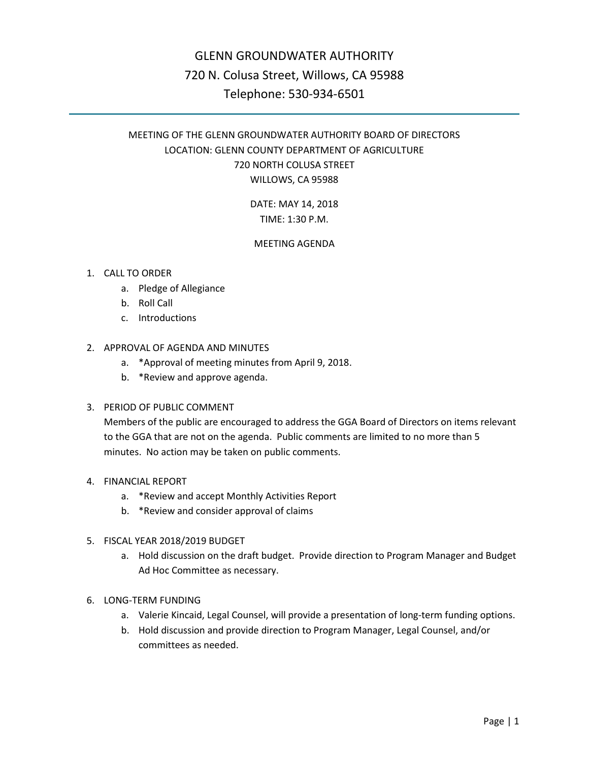# GLENN GROUNDWATER AUTHORITY 720 N. Colusa Street, Willows, CA 95988 Telephone: 530-934-6501

# MEETING OF THE GLENN GROUNDWATER AUTHORITY BOARD OF DIRECTORS LOCATION: GLENN COUNTY DEPARTMENT OF AGRICULTURE 720 NORTH COLUSA STREET WILLOWS, CA 95988

DATE: MAY 14, 2018 TIME: 1:30 P.M.

# MEETING AGENDA

#### 1. CALL TO ORDER

- a. Pledge of Allegiance
- b. Roll Call
- c. Introductions

#### 2. APPROVAL OF AGENDA AND MINUTES

- a. \*Approval of meeting minutes from April 9, 2018.
- b. \*Review and approve agenda.

# 3. PERIOD OF PUBLIC COMMENT

Members of the public are encouraged to address the GGA Board of Directors on items relevant to the GGA that are not on the agenda. Public comments are limited to no more than 5 minutes. No action may be taken on public comments.

# 4. FINANCIAL REPORT

- a. \*Review and accept Monthly Activities Report
- b. \*Review and consider approval of claims
- 5. FISCAL YEAR 2018/2019 BUDGET
	- a. Hold discussion on the draft budget. Provide direction to Program Manager and Budget Ad Hoc Committee as necessary.

# 6. LONG-TERM FUNDING

- a. Valerie Kincaid, Legal Counsel, will provide a presentation of long-term funding options.
- b. Hold discussion and provide direction to Program Manager, Legal Counsel, and/or committees as needed.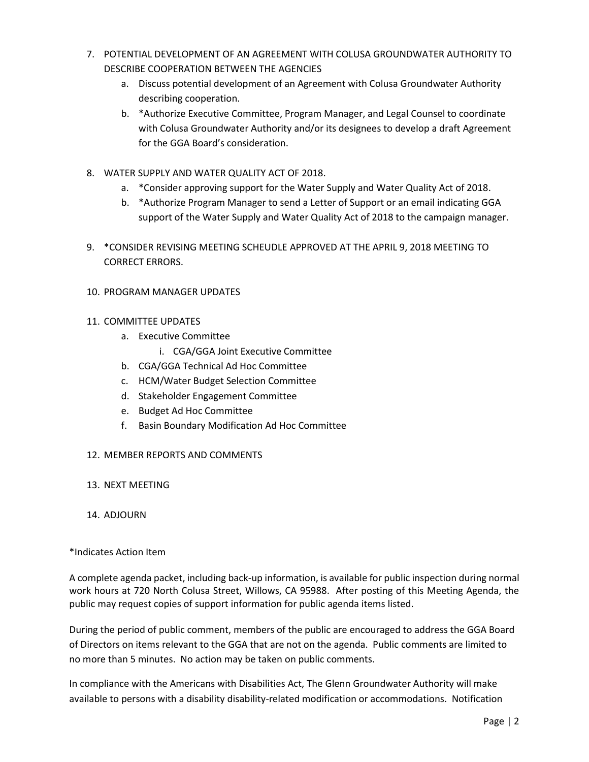- 7. POTENTIAL DEVELOPMENT OF AN AGREEMENT WITH COLUSA GROUNDWATER AUTHORITY TO DESCRIBE COOPERATION BETWEEN THE AGENCIES
	- a. Discuss potential development of an Agreement with Colusa Groundwater Authority describing cooperation.
	- b. \*Authorize Executive Committee, Program Manager, and Legal Counsel to coordinate with Colusa Groundwater Authority and/or its designees to develop a draft Agreement for the GGA Board's consideration.
- 8. WATER SUPPLY AND WATER QUALITY ACT OF 2018.
	- a. \*Consider approving support for the Water Supply and Water Quality Act of 2018.
	- b. \*Authorize Program Manager to send a Letter of Support or an email indicating GGA support of the Water Supply and Water Quality Act of 2018 to the campaign manager.
- 9. \*CONSIDER REVISING MEETING SCHEUDLE APPROVED AT THE APRIL 9, 2018 MEETING TO CORRECT ERRORS.

# 10. PROGRAM MANAGER UPDATES

#### 11. COMMITTEE UPDATES

- a. Executive Committee
	- i. CGA/GGA Joint Executive Committee
- b. CGA/GGA Technical Ad Hoc Committee
- c. HCM/Water Budget Selection Committee
- d. Stakeholder Engagement Committee
- e. Budget Ad Hoc Committee
- f. Basin Boundary Modification Ad Hoc Committee

#### 12. MEMBER REPORTS AND COMMENTS

- 13. NEXT MEETING
- 14. ADJOURN

#### \*Indicates Action Item

A complete agenda packet, including back-up information, is available for public inspection during normal work hours at 720 North Colusa Street, Willows, CA 95988. After posting of this Meeting Agenda, the public may request copies of support information for public agenda items listed.

During the period of public comment, members of the public are encouraged to address the GGA Board of Directors on items relevant to the GGA that are not on the agenda. Public comments are limited to no more than 5 minutes. No action may be taken on public comments.

In compliance with the Americans with Disabilities Act, The Glenn Groundwater Authority will make available to persons with a disability disability-related modification or accommodations. Notification